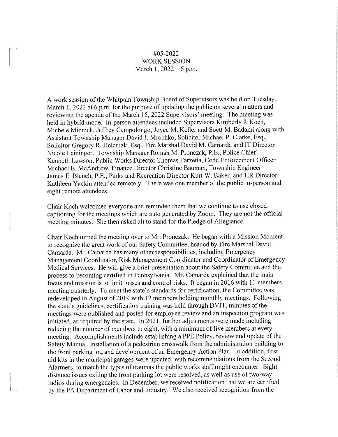## #05-2022 WORK SESSION March 1,  $2022 - 6$  p.m.

A work session of the Whitpain Township Board of Supervisors was held on Tuesday, March I, 2022 at 6 p.m. for the purpose of updating the public on several matters and reviewing the agenda of the March 15, 2022 Supervisors' meeting. The meeting was held in hybrid mode. In-person attendees included Supervisors Kimberly **J.** Koch, Michele Minnick, Jeffrey Campolongo, Joyce M. Keller and Soctt M. Badami along with Assistant Township Manager David **J.** Mrochko, Solicitor Michael P. Clarke, Esq., Solicitor Gregory R. Heleniak, Esq., Fire Marshal David M. Camarda and IT Director Nicole Leininger. Township Manager Roman M. Pronczak, P.E., Police Chief Kenneth Lawson, Public Works Director Thomas Farzetta, Code Enforcement Officer Michael E. McAndrew, Finance Director Christine Bauman, Township Engineer James E. Blanch, P.E., Parks and Recreation Director Kurt W. Baker, and HR Director Kathleen Yackin attended remotely. There was one member of the public in-person and eight remote attendees.

Chair Koch welcomed everyone and reminded them that we continue to use closed captioning for the meetings which are auto generated by Zoom. They are not the official meeting minutes. She then asked all to stand for the Pledge of Allegiance.

Chair Koch turned the meeting over to Mr. Pronczak. He began with a Mission Moment to recognize the great work of our Safety Committee, headed by Fire Marshal David Camarda. Mr. Camarda has many other responsibilities, including Emergency Management Coordinator, Risk Management Coordinator and Coordinator of Emergency Medical Services. He will give a brief presentation about the Safety Committee and the process to becoming certified in Pennsylvania. Mr. Camarda explained that the main focus and mission is to limit losses and control risks. It began in 2016 with 11 members meeting quarterly. To meet the state's standards for cetiification, the Committee was redeveloped in August of 2019 with 12 members holding monthly meetings. Following the state's guidelines, certification training was held through DVIT, minutes of the meetings were published and posted for employee review and an inspection program was initiated, as required by the state. In 2021, further adjustments were made including reducing the number of members to eight, with a minimum of five members at every meeting. Accomplishments include establishing a PPE Policy, review and update of the Safety Manual, installation of a pedestrian crosswalk from the administration building to the front parking lot, and development of an Emergency Action Plan. In addition, first aid kits in the municipal garages were updated, with recommendations from the Second Alarmers, to match the types of traumas the public works staff might encounter. Sight distance issues exiting the front parking lot were resolved, as well as use of two-way radios during emergencies. In December, we received notification that we are certified by the PA Department of Labor and Industry. We also received recognition from the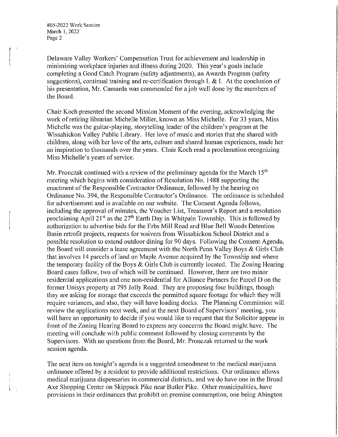#05-2022 Work Session March 1, 2022 Page 2

Delaware Valley Workers' Compensation Trust for achievement and leadership in minimizing workplace injuries and illness during 2020. This year's goals include completing a Good Catch Program (safety adjustments), an Awards Program (safety suggestions), continual training and re-certification through L & I. At the conclusion of his presentation, Mr. Camarda was commended for a job well done by the members of the Board.

Chair Koch presented the second Mission Moment of the evening, acknowledging the work of retiring librarian Michelle Miller, known as Miss Michelle. For 33 years, Miss Michelle was the guitar-playing, storytelling leader of the children's program at the Wissahickon Valley Public Library. Her love of music and stories that she shared with children, along with her love of the arts, culture and shared human experiences, made her an inspiration to thousands over the years. Chair Koch read a proclamation recognizing Miss Michelle's years of service.

Mr. Pronczak continued with a review of the preliminary agenda for the March  $15<sup>th</sup>$ meeting which begins with consideration of Resolution No. 1488 supporting the enactment of the Responsible Contractor Ordinance, followed by the hearing on Ordinance No. 394, the Responsible Contractor's Ordinance. The ordinance is scheduled for advertisement and is available on our website. The Consent Agenda follows, including the approval of minutes, the Voucher List, Treasurer's Report and a resolution proclaiming April 21<sup>st</sup> as the 27<sup>th</sup> Earth Day in Whitpain Township. This is followed by authorization to advertise bids for the Erbs Mill Road and Blue Bell Woods Detention Basin retrofit projects, requests for waivers from Wissahickon School District and a possible resolution to extend outdoor dining for 90 days. Following the Consent Agenda, the Board will consider a lease agreement with the North Penn Valley Boys & Girls Club that involves 14 parcels of land on Maple Avenue acquired by the Township and where the temporary facility of the Boys & Girls Club is currently located. The Zoning Hearing Board cases follow, two of which will be continued. However, there are two minor residential applications and one non-residential for Alliance Partners for Parcel D on the former Unisys property at 795 Jolly Road. They are proposing four buildings, though they are asking for storage that exceeds the permitted square footage for which they will require variances, and also, they will have loading docks. The Planning Commission will review the applications next week, and at the next Board of Supervisors' meeting, you will have an opportunity to decide if you would like to request that the Solicitor appear in front of the Zoning Hearing Board to express any concerns the Board might have. The meeting will conclude with public comment followed by closing comments by the Supervisors. With no questions from the Board, Mr. Pronczak returned to the work session agenda.

The next item on tonight's agenda is a suggested amendment to the medical marijuana ordinance offered by a resident to provide additional restrictions. Our ordinance allows medical marijuana dispensaries in commercial districts, and we do have one in the Broad Axe Shopping Center on Skippack Pike near Butler Pike. Other municipalities, have provisions in their ordinances that prohibit on premise consumption, one being Abington